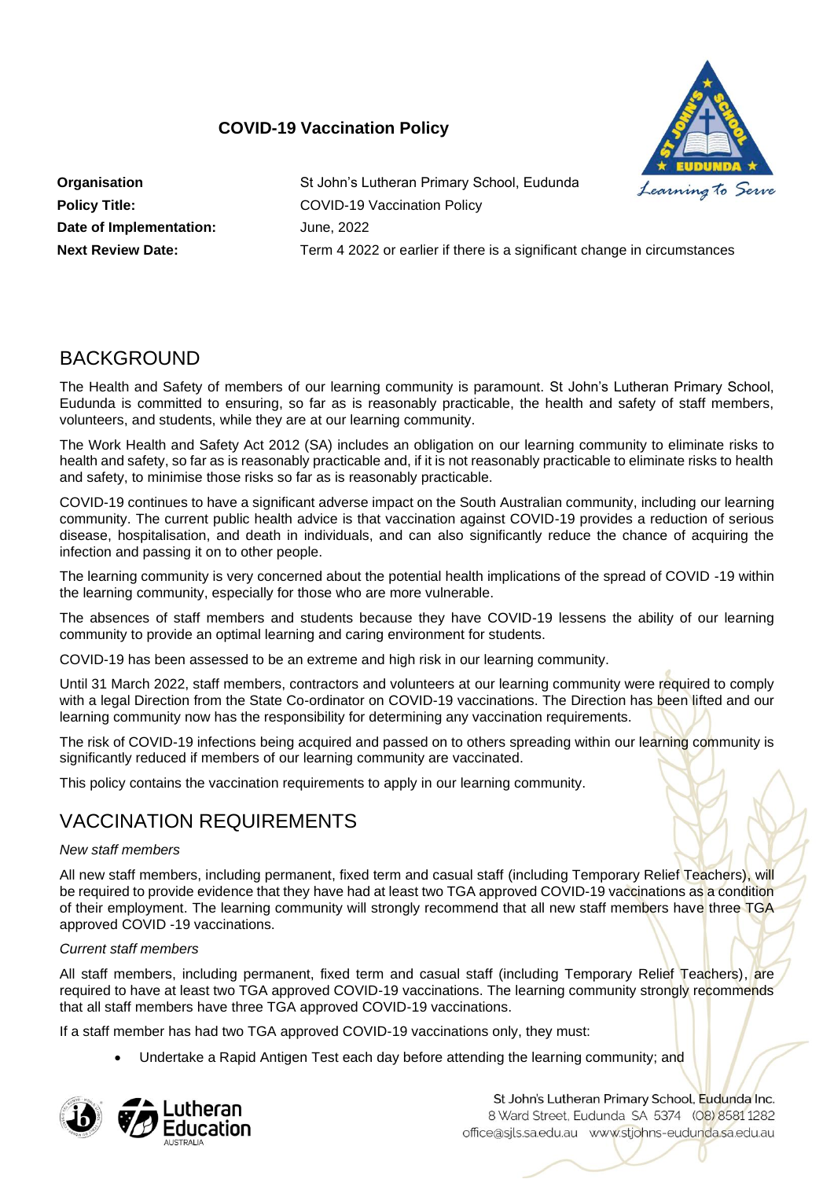# **COVID-19 Vaccination Policy**



**Date of Implementation:** June, 2022

**Organisation** St John's Lutheran Primary School, Eudunda **Policy Title:** COVID-19 Vaccination Policy **Next Review Date:** Term 4 2022 or earlier if there is a significant change in circumstances

# **BACKGROUND**

The Health and Safety of members of our learning community is paramount. St John's Lutheran Primary School, Eudunda is committed to ensuring, so far as is reasonably practicable, the health and safety of staff members, volunteers, and students, while they are at our learning community.

The Work Health and Safety Act 2012 (SA) includes an obligation on our learning community to eliminate risks to health and safety, so far as is reasonably practicable and, if it is not reasonably practicable to eliminate risks to health and safety, to minimise those risks so far as is reasonably practicable.

COVID-19 continues to have a significant adverse impact on the South Australian community, including our learning community. The current public health advice is that vaccination against COVID-19 provides a reduction of serious disease, hospitalisation, and death in individuals, and can also significantly reduce the chance of acquiring the infection and passing it on to other people.

The learning community is very concerned about the potential health implications of the spread of COVID -19 within the learning community, especially for those who are more vulnerable.

The absences of staff members and students because they have COVID-19 lessens the ability of our learning community to provide an optimal learning and caring environment for students.

COVID-19 has been assessed to be an extreme and high risk in our learning community.

Until 31 March 2022, staff members, contractors and volunteers at our learning community were required to comply with a legal Direction from the State Co-ordinator on COVID-19 vaccinations. The Direction has been lifted and our learning community now has the responsibility for determining any vaccination requirements.

The risk of COVID-19 infections being acquired and passed on to others spreading within our learning community is significantly reduced if members of our learning community are vaccinated.

This policy contains the vaccination requirements to apply in our learning community.

# VACCINATION REQUIREMENTS

# *New staff members*

All new staff members, including permanent, fixed term and casual staff (including Temporary Relief Teachers), will be required to provide evidence that they have had at least two TGA approved COVID-19 vaccinations as a condition of their employment. The learning community will strongly recommend that all new staff members have three TGA approved COVID -19 vaccinations.

# *Current staff members*

All staff members, including permanent, fixed term and casual staff (including Temporary Relief Teachers), are required to have at least two TGA approved COVID-19 vaccinations. The learning community strongly recommends that all staff members have three TGA approved COVID-19 vaccinations.

If a staff member has had two TGA approved COVID-19 vaccinations only, they must:

• Undertake a Rapid Antigen Test each day before attending the learning community; and

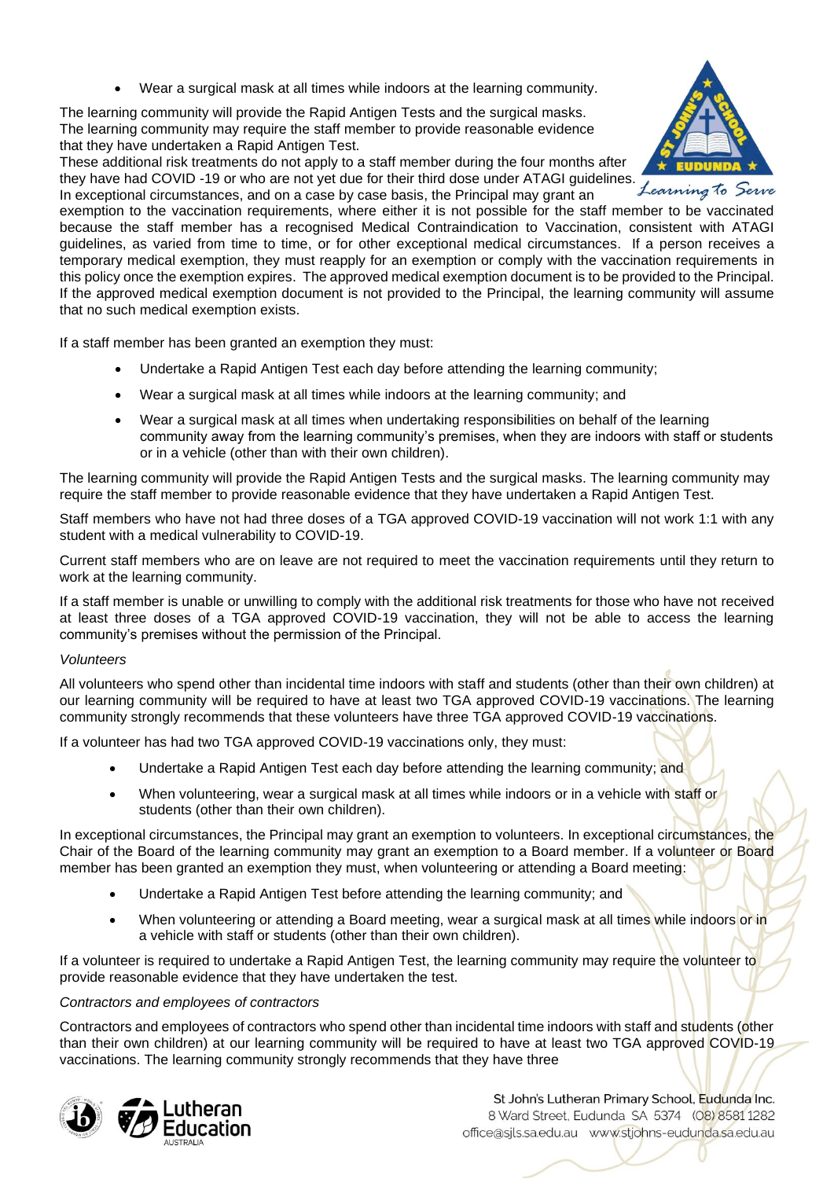• Wear a surgical mask at all times while indoors at the learning community.

The learning community will provide the Rapid Antigen Tests and the surgical masks. The learning community may require the staff member to provide reasonable evidence that they have undertaken a Rapid Antigen Test.

These additional risk treatments do not apply to a staff member during the four months after they have had COVID -19 or who are not yet due for their third dose under ATAGI guidelines. In exceptional circumstances, and on a case by case basis, the Principal may grant an



Learning to Serve

exemption to the vaccination requirements, where either it is not possible for the staff member to be vaccinated because the staff member has a recognised Medical Contraindication to Vaccination, consistent with ATAGI guidelines, as varied from time to time, or for other exceptional medical circumstances. If a person receives a temporary medical exemption, they must reapply for an exemption or comply with the vaccination requirements in this policy once the exemption expires. The approved medical exemption document is to be provided to the Principal. If the approved medical exemption document is not provided to the Principal, the learning community will assume that no such medical exemption exists.

If a staff member has been granted an exemption they must:

- Undertake a Rapid Antigen Test each day before attending the learning community;
- Wear a surgical mask at all times while indoors at the learning community; and
- Wear a surgical mask at all times when undertaking responsibilities on behalf of the learning community away from the learning community's premises, when they are indoors with staff or students or in a vehicle (other than with their own children).

The learning community will provide the Rapid Antigen Tests and the surgical masks. The learning community may require the staff member to provide reasonable evidence that they have undertaken a Rapid Antigen Test.

Staff members who have not had three doses of a TGA approved COVID-19 vaccination will not work 1:1 with any student with a medical vulnerability to COVID-19.

Current staff members who are on leave are not required to meet the vaccination requirements until they return to work at the learning community.

If a staff member is unable or unwilling to comply with the additional risk treatments for those who have not received at least three doses of a TGA approved COVID-19 vaccination, they will not be able to access the learning community's premises without the permission of the Principal.

## *Volunteers*

All volunteers who spend other than incidental time indoors with staff and students (other than their own children) at our learning community will be required to have at least two TGA approved COVID-19 vaccinations. The learning community strongly recommends that these volunteers have three TGA approved COVID-19 vaccinations.

If a volunteer has had two TGA approved COVID-19 vaccinations only, they must:

- Undertake a Rapid Antigen Test each day before attending the learning community; and
- When volunteering, wear a surgical mask at all times while indoors or in a vehicle with staff or students (other than their own children).

In exceptional circumstances, the Principal may grant an exemption to volunteers. In exceptional circumstances, the Chair of the Board of the learning community may grant an exemption to a Board member. If a volunteer or Board member has been granted an exemption they must, when volunteering or attending a Board meeting:

- Undertake a Rapid Antigen Test before attending the learning community; and
- When volunteering or attending a Board meeting, wear a surgical mask at all times while indoors or in a vehicle with staff or students (other than their own children).

If a volunteer is required to undertake a Rapid Antigen Test, the learning community may require the volunteer to provide reasonable evidence that they have undertaken the test.

## *Contractors and employees of contractors*

Contractors and employees of contractors who spend other than incidental time indoors with staff and students (other than their own children) at our learning community will be required to have at least two TGA approved COVID-19 vaccinations. The learning community strongly recommends that they have three

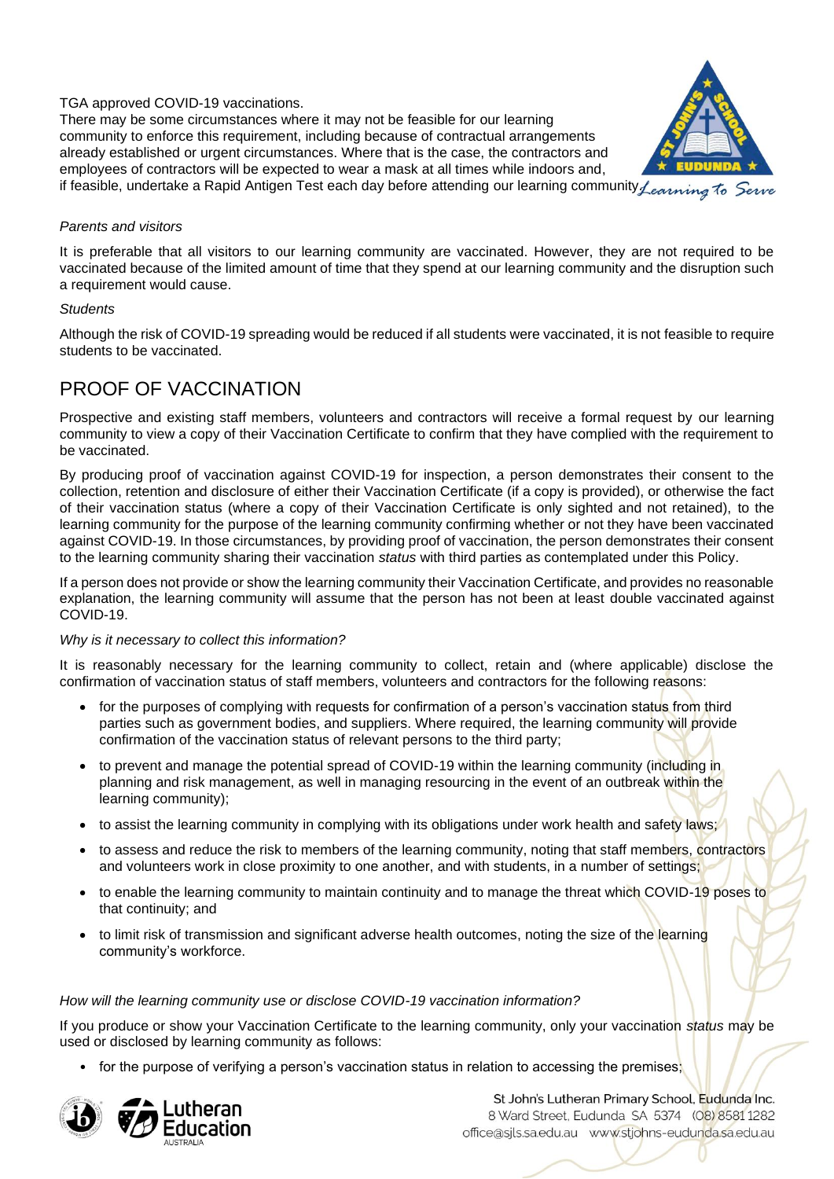# TGA approved COVID-19 vaccinations.

There may be some circumstances where it may not be feasible for our learning community to enforce this requirement, including because of contractual arrangements already established or urgent circumstances. Where that is the case, the contractors and employees of contractors will be expected to wear a mask at all times while indoors and, if feasible, undertake a Rapid Antigen Test each day before attending our learning community *Learning* To Serve



#### *Parents and visitors*

It is preferable that all visitors to our learning community are vaccinated. However, they are not required to be vaccinated because of the limited amount of time that they spend at our learning community and the disruption such a requirement would cause.

#### *Students*

Although the risk of COVID-19 spreading would be reduced if all students were vaccinated, it is not feasible to require students to be vaccinated.

# PROOF OF VACCINATION

Prospective and existing staff members, volunteers and contractors will receive a formal request by our learning community to view a copy of their Vaccination Certificate to confirm that they have complied with the requirement to be vaccinated.

By producing proof of vaccination against COVID-19 for inspection, a person demonstrates their consent to the collection, retention and disclosure of either their Vaccination Certificate (if a copy is provided), or otherwise the fact of their vaccination status (where a copy of their Vaccination Certificate is only sighted and not retained), to the learning community for the purpose of the learning community confirming whether or not they have been vaccinated against COVID-19. In those circumstances, by providing proof of vaccination, the person demonstrates their consent to the learning community sharing their vaccination *status* with third parties as contemplated under this Policy.

If a person does not provide or show the learning community their Vaccination Certificate, and provides no reasonable explanation, the learning community will assume that the person has not been at least double vaccinated against COVID-19.

## *Why is it necessary to collect this information?*

It is reasonably necessary for the learning community to collect, retain and (where applicable) disclose the confirmation of vaccination status of staff members, volunteers and contractors for the following reasons:

- for the purposes of complying with requests for confirmation of a person's vaccination status from third parties such as government bodies, and suppliers. Where required, the learning community will provide confirmation of the vaccination status of relevant persons to the third party;
- to prevent and manage the potential spread of COVID-19 within the learning community (including in planning and risk management, as well in managing resourcing in the event of an outbreak within the learning community);
- to assist the learning community in complying with its obligations under work health and safety laws;
- to assess and reduce the risk to members of the learning community, noting that staff members, contractors and volunteers work in close proximity to one another, and with students, in a number of settings;
- to enable the learning community to maintain continuity and to manage the threat which COVID-19 poses to that continuity; and
- to limit risk of transmission and significant adverse health outcomes, noting the size of the learning community's workforce.

## *How will the learning community use or disclose COVID-19 vaccination information?*

If you produce or show your Vaccination Certificate to the learning community, only your vaccination *status* may be used or disclosed by learning community as follows:

• for the purpose of verifying a person's vaccination status in relation to accessing the premises;